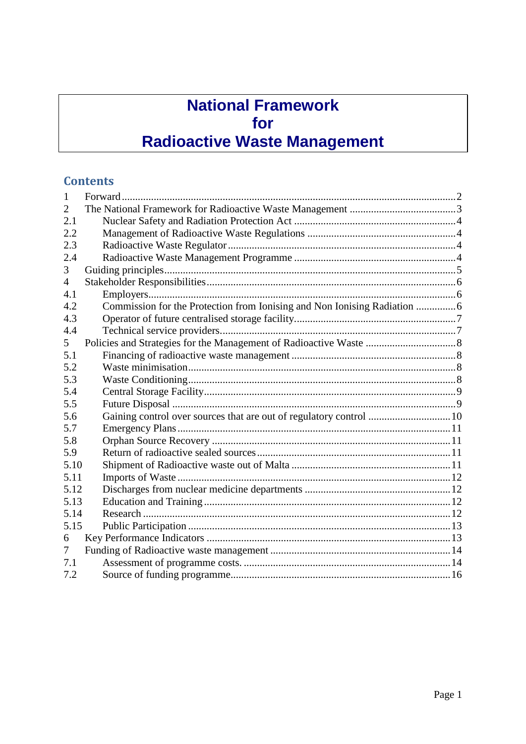## **National Framework** for **Radioactive Waste Management**

#### **Contents**

| 1              |                                                                    |  |
|----------------|--------------------------------------------------------------------|--|
| 2              |                                                                    |  |
| 2.1            |                                                                    |  |
| 2.2            |                                                                    |  |
| 2.3            |                                                                    |  |
| 2.4            |                                                                    |  |
| 3              |                                                                    |  |
| $\overline{4}$ |                                                                    |  |
| 4.1            |                                                                    |  |
| 4.2            |                                                                    |  |
| 4.3            |                                                                    |  |
| 4.4            |                                                                    |  |
| 5              |                                                                    |  |
| 5.1            |                                                                    |  |
| 5.2            |                                                                    |  |
| 5.3            |                                                                    |  |
| 5.4            |                                                                    |  |
| 5.5            |                                                                    |  |
| 5.6            | Gaining control over sources that are out of regulatory control 10 |  |
| 5.7            |                                                                    |  |
| 5.8            |                                                                    |  |
| 5.9            |                                                                    |  |
| 5.10           |                                                                    |  |
| 5.11           |                                                                    |  |
| 5.12           |                                                                    |  |
| 5.13           |                                                                    |  |
| 5.14           |                                                                    |  |
| 5.15           |                                                                    |  |
| 6              |                                                                    |  |
| 7              |                                                                    |  |
| 7.1            |                                                                    |  |
| 7.2            |                                                                    |  |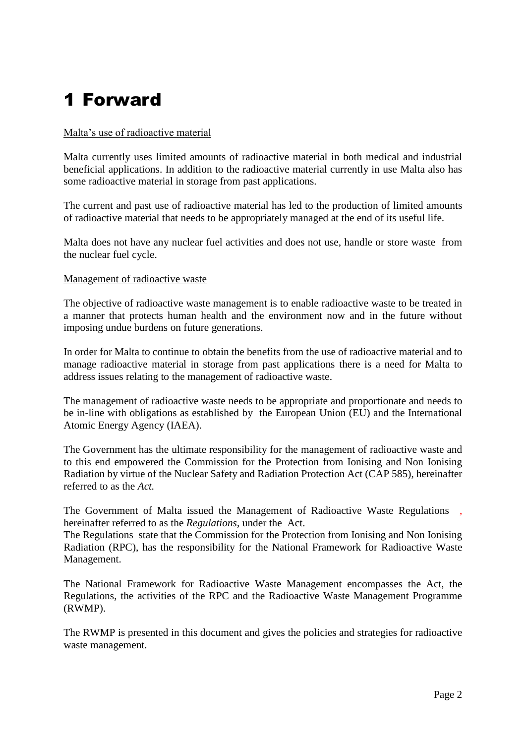# <span id="page-1-0"></span>1 Forward

#### Malta's use of radioactive material

Malta currently uses limited amounts of radioactive material in both medical and industrial beneficial applications. In addition to the radioactive material currently in use Malta also has some radioactive material in storage from past applications.

The current and past use of radioactive material has led to the production of limited amounts of radioactive material that needs to be appropriately managed at the end of its useful life.

Malta does not have any nuclear fuel activities and does not use, handle or store waste from the nuclear fuel cycle.

#### Management of radioactive waste

The objective of radioactive waste management is to enable radioactive waste to be treated in a manner that protects human health and the environment now and in the future without imposing undue burdens on future generations.

In order for Malta to continue to obtain the benefits from the use of radioactive material and to manage radioactive material in storage from past applications there is a need for Malta to address issues relating to the management of radioactive waste.

The management of radioactive waste needs to be appropriate and proportionate and needs to be in-line with obligations as established by the European Union (EU) and the International Atomic Energy Agency (IAEA).

The Government has the ultimate responsibility for the management of radioactive waste and to this end empowered the Commission for the Protection from Ionising and Non Ionising Radiation by virtue of the Nuclear Safety and Radiation Protection Act (CAP 585), hereinafter referred to as the *Act.*

The Government of Malta issued the Management of Radioactive Waste Regulations , hereinafter referred to as the *Regulations*, under the Act.

The Regulations state that the Commission for the Protection from Ionising and Non Ionising Radiation (RPC), has the responsibility for the National Framework for Radioactive Waste Management.

The National Framework for Radioactive Waste Management encompasses the Act, the Regulations, the activities of the RPC and the Radioactive Waste Management Programme (RWMP).

The RWMP is presented in this document and gives the policies and strategies for radioactive waste management.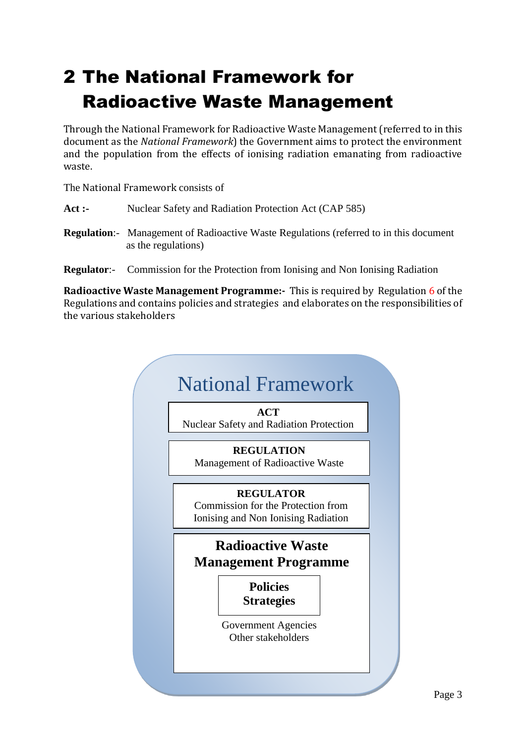# <span id="page-2-0"></span>2 The National Framework for Radioactive Waste Management

Through the National Framework for Radioactive Waste Management (referred to in this document as the *National Framework*) the Government aims to protect the environment and the population from the effects of ionising radiation emanating from radioactive waste.

The National Framework consists of

- Act :- Nuclear Safety and Radiation Protection Act (CAP 585)
- **Regulation**:- Management of Radioactive Waste Regulations (referred to in this document as the regulations)
- **Regulator**:- Commission for the Protection from Ionising and Non Ionising Radiation

**Radioactive Waste Management Programme:-** This is required by Regulation 6 of the Regulations and contains policies and strategies and elaborates on the responsibilities of the various stakeholders

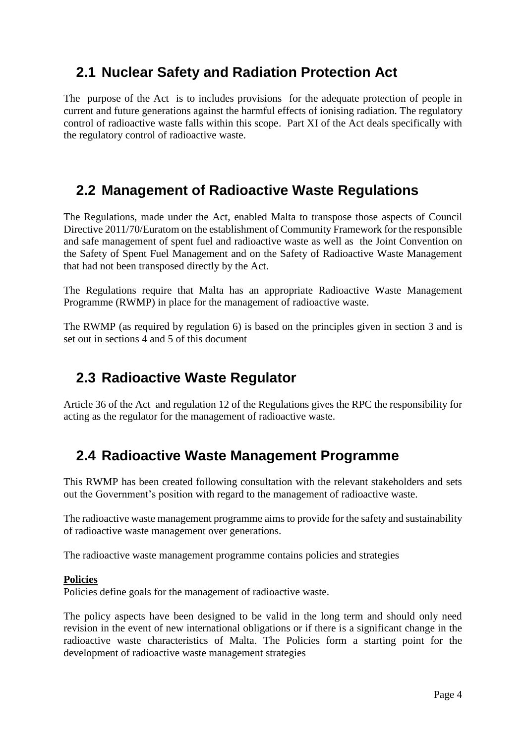#### <span id="page-3-0"></span>**2.1 Nuclear Safety and Radiation Protection Act**

The purpose of the Act is to includes provisions for the adequate protection of people in current and future generations against the harmful effects of ionising radiation. The regulatory control of radioactive waste falls within this scope. Part XI of the Act deals specifically with the regulatory control of radioactive waste.

#### <span id="page-3-1"></span>**2.2 Management of Radioactive Waste Regulations**

The Regulations, made under the Act, enabled Malta to transpose those aspects of Council Directive 2011/70/Euratom on the establishment of Community Framework for the responsible and safe management of spent fuel and radioactive waste as well as the Joint Convention on the Safety of Spent Fuel Management and on the Safety of Radioactive Waste Management that had not been transposed directly by the Act.

The Regulations require that Malta has an appropriate Radioactive Waste Management Programme (RWMP) in place for the management of radioactive waste.

The RWMP (as required by regulation 6) is based on the principles given in section 3 and is set out in sections 4 and 5 of this document

#### <span id="page-3-2"></span>**2.3 Radioactive Waste Regulator**

Article 36 of the Act and regulation 12 of the Regulations gives the RPC the responsibility for acting as the regulator for the management of radioactive waste.

#### <span id="page-3-3"></span>**2.4 Radioactive Waste Management Programme**

This RWMP has been created following consultation with the relevant stakeholders and sets out the Government's position with regard to the management of radioactive waste.

The radioactive waste management programme aims to provide for the safety and sustainability of radioactive waste management over generations.

The radioactive waste management programme contains policies and strategies

#### **Policies**

Policies define goals for the management of radioactive waste.

The policy aspects have been designed to be valid in the long term and should only need revision in the event of new international obligations or if there is a significant change in the radioactive waste characteristics of Malta. The Policies form a starting point for the development of radioactive waste management strategies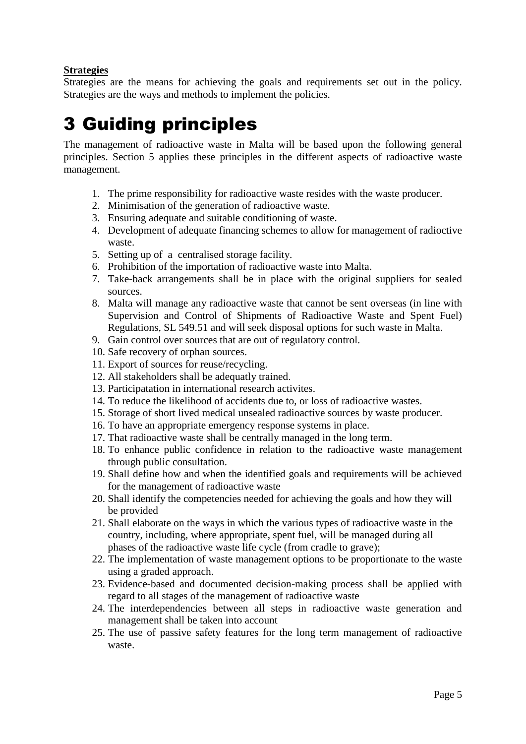#### **Strategies**

Strategies are the means for achieving the goals and requirements set out in the policy. Strategies are the ways and methods to implement the policies.

# <span id="page-4-0"></span>3 Guiding principles

The management of radioactive waste in Malta will be based upon the following general principles. Section 5 applies these principles in the different aspects of radioactive waste management.

- 1. The prime responsibility for radioactive waste resides with the waste producer.
- 2. Minimisation of the generation of radioactive waste.
- 3. Ensuring adequate and suitable conditioning of waste.
- 4. Development of adequate financing schemes to allow for management of radioctive waste.
- 5. Setting up of a centralised storage facility.
- 6. Prohibition of the importation of radioactive waste into Malta.
- 7. Take-back arrangements shall be in place with the original suppliers for sealed sources.
- 8. Malta will manage any radioactive waste that cannot be sent overseas (in line with Supervision and Control of Shipments of Radioactive Waste and Spent Fuel) Regulations, SL 549.51 and will seek disposal options for such waste in Malta.
- 9. Gain control over sources that are out of regulatory control.
- 10. Safe recovery of orphan sources.
- 11. Export of sources for reuse/recycling.
- 12. All stakeholders shall be adequatly trained.
- 13. Participatation in international research activites.
- 14. To reduce the likelihood of accidents due to, or loss of radioactive wastes.
- 15. Storage of short lived medical unsealed radioactive sources by waste producer.
- 16. To have an appropriate emergency response systems in place.
- 17. That radioactive waste shall be centrally managed in the long term.
- 18. To enhance public confidence in relation to the radioactive waste management through public consultation.
- 19. Shall define how and when the identified goals and requirements will be achieved for the management of radioactive waste
- 20. Shall identify the competencies needed for achieving the goals and how they will be provided
- 21. Shall elaborate on the ways in which the various types of radioactive waste in the country, including, where appropriate, spent fuel, will be managed during all phases of the radioactive waste life cycle (from cradle to grave);
- 22. The implementation of waste management options to be proportionate to the waste using a graded approach.
- 23. Evidence-based and documented decision-making process shall be applied with regard to all stages of the management of radioactive waste
- 24. The interdependencies between all steps in radioactive waste generation and management shall be taken into account
- 25. The use of passive safety features for the long term management of radioactive waste.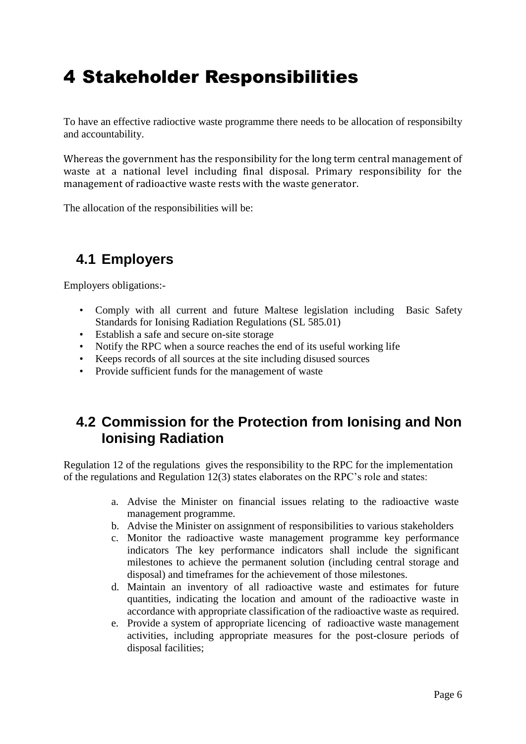## <span id="page-5-0"></span>4 Stakeholder Responsibilities

To have an effective radioctive waste programme there needs to be allocation of responsibilty and accountability.

Whereas the government has the responsibility for the long term central management of waste at a national level including final disposal. Primary responsibility for the management of radioactive waste rests with the waste generator.

The allocation of the responsibilities will be:

#### <span id="page-5-1"></span>**4.1 Employers**

Employers obligations:-

- Comply with all current and future Maltese legislation including Basic Safety Standards for Ionising Radiation Regulations (SL 585.01)
- Establish a safe and secure on-site storage
- Notify the RPC when a source reaches the end of its useful working life
- Keeps records of all sources at the site including disused sources
- Provide sufficient funds for the management of waste

#### <span id="page-5-2"></span>**4.2 Commission for the Protection from Ionising and Non Ionising Radiation**

Regulation 12 of the regulations gives the responsibility to the RPC for the implementation of the regulations and Regulation 12(3) states elaborates on the RPC's role and states:

- a. Advise the Minister on financial issues relating to the radioactive waste management programme.
- b. Advise the Minister on assignment of responsibilities to various stakeholders
- c. Monitor the radioactive waste management programme key performance indicators The key performance indicators shall include the significant milestones to achieve the permanent solution (including central storage and disposal) and timeframes for the achievement of those milestones.
- d. Maintain an inventory of all radioactive waste and estimates for future quantities, indicating the location and amount of the radioactive waste in accordance with appropriate classification of the radioactive waste as required.
- e. Provide a system of appropriate licencing of radioactive waste management activities, including appropriate measures for the post-closure periods of disposal facilities;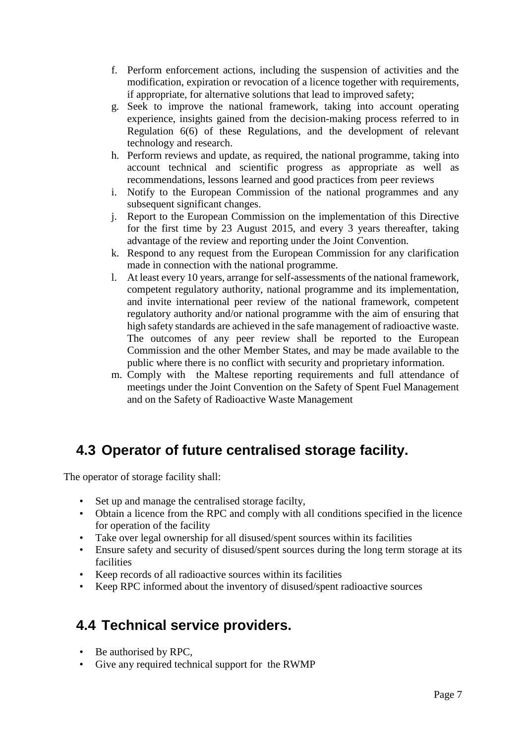- f. Perform enforcement actions, including the suspension of activities and the modification, expiration or revocation of a licence together with requirements, if appropriate, for alternative solutions that lead to improved safety;
- g. Seek to improve the national framework, taking into account operating experience, insights gained from the decision-making process referred to in Regulation 6(6) of these Regulations, and the development of relevant technology and research.
- h. Perform reviews and update, as required, the national programme, taking into account technical and scientific progress as appropriate as well as recommendations, lessons learned and good practices from peer reviews
- i. Notify to the European Commission of the national programmes and any subsequent significant changes.
- j. Report to the European Commission on the implementation of this Directive for the first time by 23 August 2015, and every 3 years thereafter, taking advantage of the review and reporting under the Joint Convention.
- k. Respond to any request from the European Commission for any clarification made in connection with the national programme.
- l. At least every 10 years, arrange for self-assessments of the national framework, competent regulatory authority, national programme and its implementation, and invite international peer review of the national framework, competent regulatory authority and/or national programme with the aim of ensuring that high safety standards are achieved in the safe management of radioactive waste. The outcomes of any peer review shall be reported to the European Commission and the other Member States, and may be made available to the public where there is no conflict with security and proprietary information.
- m. Comply with the Maltese reporting requirements and full attendance of meetings under the Joint Convention on the Safety of Spent Fuel Management and on the Safety of Radioactive Waste Management

#### <span id="page-6-0"></span>**4.3 Operator of future centralised storage facility.**

The operator of storage facility shall:

- Set up and manage the centralised storage facilty,
- Obtain a licence from the RPC and comply with all conditions specified in the licence for operation of the facility
- Take over legal ownership for all disused/spent sources within its facilities
- Ensure safety and security of disused/spent sources during the long term storage at its facilities
- Keep records of all radioactive sources within its facilities
- Keep RPC informed about the inventory of disused/spent radioactive sources

#### <span id="page-6-1"></span>**4.4 Technical service providers.**

- Be authorised by RPC,
- Give any required technical support for the RWMP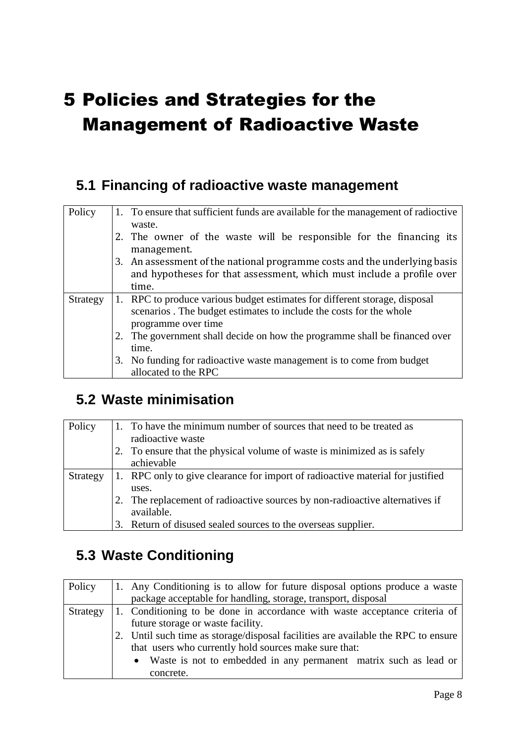# <span id="page-7-0"></span>5 Policies and Strategies for the Management of Radioactive Waste

#### <span id="page-7-1"></span>**5.1 Financing of radioactive waste management**

| Policy   | 1. To ensure that sufficient funds are available for the management of radioctive<br>waste.                                                                             |
|----------|-------------------------------------------------------------------------------------------------------------------------------------------------------------------------|
|          | 2. The owner of the waste will be responsible for the financing its<br>management.                                                                                      |
|          | 3. An assessment of the national programme costs and the underlying basis<br>and hypotheses for that assessment, which must include a profile over<br>time.             |
| Strategy | 1. RPC to produce various budget estimates for different storage, disposal<br>scenarios. The budget estimates to include the costs for the whole<br>programme over time |
|          | 2. The government shall decide on how the programme shall be financed over<br>time.                                                                                     |
|          | 3. No funding for radioactive waste management is to come from budget<br>allocated to the RPC                                                                           |

#### <span id="page-7-2"></span>**5.2 Waste minimisation**

| Policy   |    | 1. To have the minimum number of sources that need to be treated as            |
|----------|----|--------------------------------------------------------------------------------|
|          |    | radioactive waste                                                              |
|          |    | To ensure that the physical volume of waste is minimized as is safely          |
|          |    | achievable                                                                     |
| Strategy |    | 1. RPC only to give clearance for import of radioactive material for justified |
|          |    | uses.                                                                          |
|          |    | The replacement of radioactive sources by non-radioactive alternatives if      |
|          |    | available.                                                                     |
|          | 3. | Return of disused sealed sources to the overseas supplier.                     |

### <span id="page-7-3"></span>**5.3 Waste Conditioning**

| Policy   | 1. Any Conditioning is to allow for future disposal options produce a waste       |
|----------|-----------------------------------------------------------------------------------|
|          | package acceptable for handling, storage, transport, disposal                     |
| Strategy | 1. Conditioning to be done in accordance with waste acceptance criteria of        |
|          | future storage or waste facility.                                                 |
|          | 2. Until such time as storage/disposal facilities are available the RPC to ensure |
|          | that users who currently hold sources make sure that:                             |
|          | • Waste is not to embedded in any permanent matrix such as lead or                |
|          | concrete.                                                                         |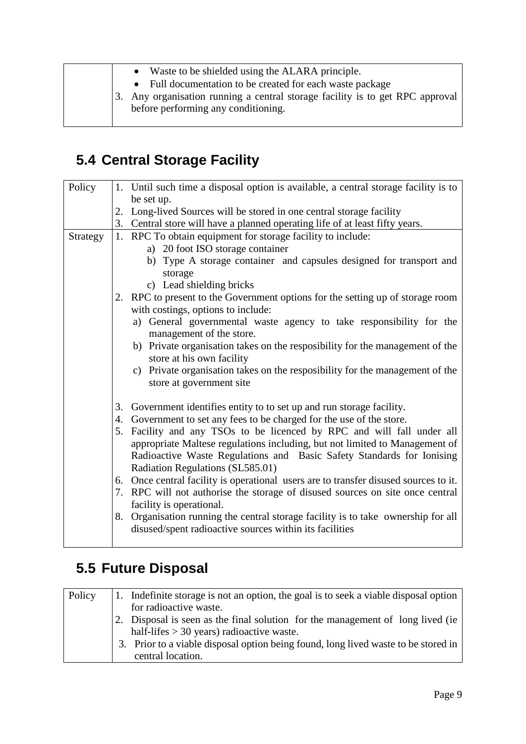|  | Waste to be shielded using the ALARA principle.                               |
|--|-------------------------------------------------------------------------------|
|  | Full documentation to be created for each waste package                       |
|  | 3. Any organisation running a central storage facility is to get RPC approval |
|  | before performing any conditioning.                                           |
|  |                                                                               |

## <span id="page-8-0"></span>**5.4 Central Storage Facility**

| Policy   |    | 1. Until such time a disposal option is available, a central storage facility is to  |
|----------|----|--------------------------------------------------------------------------------------|
|          |    | be set up.                                                                           |
|          |    | 2. Long-lived Sources will be stored in one central storage facility                 |
|          |    | 3. Central store will have a planned operating life of at least fifty years.         |
| Strategy |    | 1. RPC To obtain equipment for storage facility to include:                          |
|          |    | a) 20 foot ISO storage container                                                     |
|          |    | b) Type A storage container and capsules designed for transport and                  |
|          |    | storage                                                                              |
|          |    | c) Lead shielding bricks                                                             |
|          |    | 2. RPC to present to the Government options for the setting up of storage room       |
|          |    | with costings, options to include:                                                   |
|          |    | a) General governmental waste agency to take responsibility for the                  |
|          |    | management of the store.                                                             |
|          |    | b) Private organisation takes on the resposibility for the management of the         |
|          |    | store at his own facility                                                            |
|          |    | c) Private organisation takes on the resposibility for the management of the         |
|          |    | store at government site                                                             |
|          |    |                                                                                      |
|          |    | 3. Government identifies entity to to set up and run storage facility.               |
|          | 4. | Government to set any fees to be charged for the use of the store.                   |
|          |    | 5. Facility and any TSOs to be licenced by RPC and will fall under all               |
|          |    | appropriate Maltese regulations including, but not limited to Management of          |
|          |    | Radioactive Waste Regulations and Basic Safety Standards for Ionising                |
|          |    |                                                                                      |
|          |    | Radiation Regulations (SL585.01)                                                     |
|          |    | 6. Once central facility is operational users are to transfer disused sources to it. |
|          |    | 7. RPC will not authorise the storage of disused sources on site once central        |
|          |    | facility is operational.                                                             |
|          |    | 8. Organisation running the central storage facility is to take ownership for all    |
|          |    | disused/spent radioactive sources within its facilities                              |
|          |    |                                                                                      |

## <span id="page-8-1"></span>**5.5 Future Disposal**

| Policy | 1. Indefinite storage is not an option, the goal is to seek a viable disposal option |
|--------|--------------------------------------------------------------------------------------|
|        | for radioactive waste.                                                               |
|        | 2. Disposal is seen as the final solution for the management of long lived (ie)      |
|        | half-lifes $>$ 30 years) radioactive waste.                                          |
|        | 3. Prior to a viable disposal option being found, long lived waste to be stored in   |
|        | central location.                                                                    |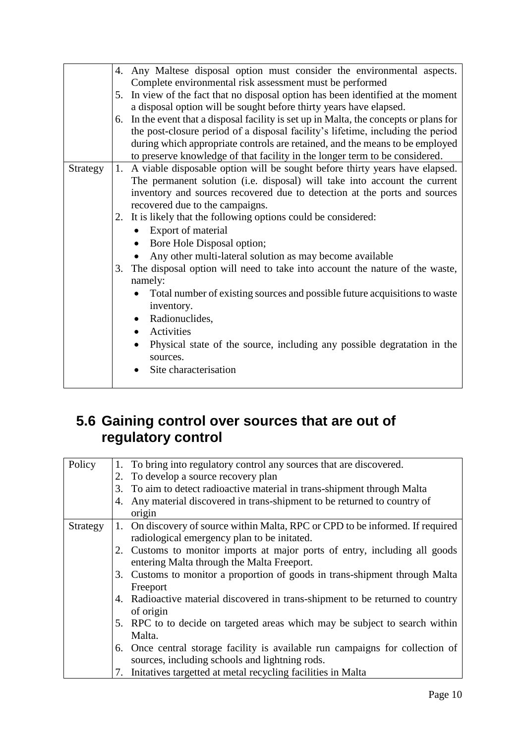|          |    | 4. Any Maltese disposal option must consider the environmental aspects.             |
|----------|----|-------------------------------------------------------------------------------------|
|          |    | Complete environmental risk assessment must be performed                            |
|          |    |                                                                                     |
|          |    | 5. In view of the fact that no disposal option has been identified at the moment    |
|          |    | a disposal option will be sought before thirty years have elapsed.                  |
|          | 6. | In the event that a disposal facility is set up in Malta, the concepts or plans for |
|          |    | the post-closure period of a disposal facility's lifetime, including the period     |
|          |    | during which appropriate controls are retained, and the means to be employed        |
|          |    | to preserve knowledge of that facility in the longer term to be considered.         |
| Strategy |    | 1. A viable disposable option will be sought before thirty years have elapsed.      |
|          |    |                                                                                     |
|          |    | The permanent solution (i.e. disposal) will take into account the current           |
|          |    | inventory and sources recovered due to detection at the ports and sources           |
|          |    | recovered due to the campaigns.                                                     |
|          |    | 2. It is likely that the following options could be considered:                     |
|          |    | Export of material                                                                  |
|          |    | Bore Hole Disposal option;                                                          |
|          |    | Any other multi-lateral solution as may become available                            |
|          | 3. | The disposal option will need to take into account the nature of the waste,         |
|          |    | namely:                                                                             |
|          |    | Total number of existing sources and possible future acquisitions to waste          |
|          |    | inventory.                                                                          |
|          |    | • Radionuclides,                                                                    |
|          |    | Activities                                                                          |
|          |    |                                                                                     |
|          |    | Physical state of the source, including any possible degratation in the<br>sources. |
|          |    |                                                                                     |
|          |    | Site characterisation                                                               |
|          |    |                                                                                     |

#### <span id="page-9-0"></span>**5.6 Gaining control over sources that are out of regulatory control**

| Policy   |    | 1. To bring into regulatory control any sources that are discovered.           |
|----------|----|--------------------------------------------------------------------------------|
|          | 2. | To develop a source recovery plan                                              |
|          | 3. | To aim to detect radioactive material in trans-shipment through Malta          |
|          | 4. | Any material discovered in trans-shipment to be returned to country of         |
|          |    | origin                                                                         |
| Strategy | 1. | On discovery of source within Malta, RPC or CPD to be informed. If required    |
|          |    | radiological emergency plan to be initated.                                    |
|          |    | 2. Customs to monitor imports at major ports of entry, including all goods     |
|          |    | entering Malta through the Malta Freeport.                                     |
|          |    | 3. Customs to monitor a proportion of goods in trans-shipment through Malta    |
|          |    | Freeport                                                                       |
|          |    | 4. Radioactive material discovered in trans-shipment to be returned to country |
|          |    | of origin                                                                      |
|          |    | 5. RPC to to decide on targeted areas which may be subject to search within    |
|          |    | Malta.                                                                         |
|          |    | 6. Once central storage facility is available run campaigns for collection of  |
|          |    | sources, including schools and lightning rods.                                 |
|          | 7. | Initatives targetted at metal recycling facilities in Malta                    |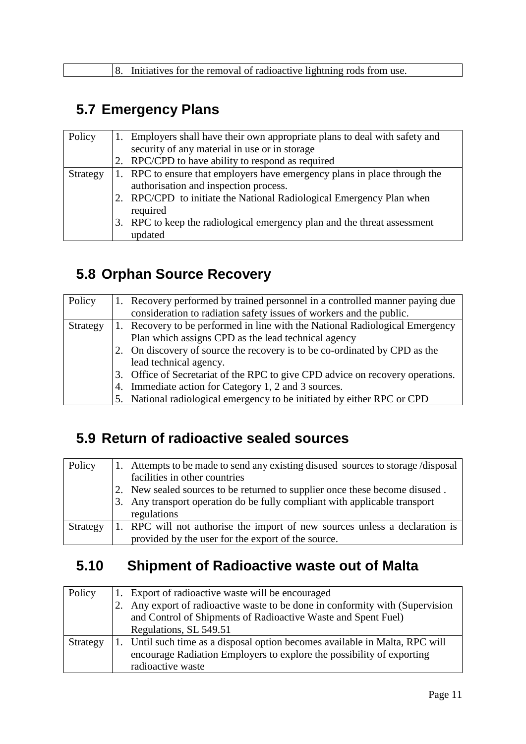### <span id="page-10-0"></span>**5.7 Emergency Plans**

| Policy   |    | Employers shall have their own appropriate plans to deal with safety and  |
|----------|----|---------------------------------------------------------------------------|
|          |    | security of any material in use or in storage                             |
|          |    | RPC/CPD to have ability to respond as required                            |
| Strategy |    | 1. RPC to ensure that employers have emergency plans in place through the |
|          |    | authorisation and inspection process.                                     |
|          |    | RPC/CPD to initiate the National Radiological Emergency Plan when         |
|          |    | required                                                                  |
|          | 3. | RPC to keep the radiological emergency plan and the threat assessment     |
|          |    | updated                                                                   |

#### <span id="page-10-1"></span>**5.8 Orphan Source Recovery**

| Policy   | Recovery performed by trained personnel in a controlled manner paying due      |
|----------|--------------------------------------------------------------------------------|
|          | consideration to radiation safety issues of workers and the public.            |
| Strategy | Recovery to be performed in line with the National Radiological Emergency      |
|          | Plan which assigns CPD as the lead technical agency                            |
|          | 2. On discovery of source the recovery is to be co-ordinated by CPD as the     |
|          | lead technical agency.                                                         |
|          | 3. Office of Secretariat of the RPC to give CPD advice on recovery operations. |
|          | 4. Immediate action for Category 1, 2 and 3 sources.                           |
|          | 5. National radiological emergency to be initiated by either RPC or CPD        |

### <span id="page-10-2"></span>**5.9 Return of radioactive sealed sources**

| Policy   | 1. Attempts to be made to send any existing disused sources to storage/disposal |
|----------|---------------------------------------------------------------------------------|
|          | facilities in other countries                                                   |
|          | 2. New sealed sources to be returned to supplier once these become disused.     |
|          | 3. Any transport operation do be fully compliant with applicable transport      |
|          | regulations                                                                     |
| Strategy | 1. RPC will not authorise the import of new sources unless a declaration is     |
|          | provided by the user for the export of the source.                              |

### <span id="page-10-3"></span>**5.10 Shipment of Radioactive waste out of Malta**

| Policy   | Export of radioactive waste will be encouraged                               |  |
|----------|------------------------------------------------------------------------------|--|
|          | Any export of radioactive waste to be done in conformity with (Supervision   |  |
|          | and Control of Shipments of Radioactive Waste and Spent Fuel)                |  |
|          | Regulations, SL 549.51                                                       |  |
| Strategy | 1. Until such time as a disposal option becomes available in Malta, RPC will |  |
|          | encourage Radiation Employers to explore the possibility of exporting        |  |
|          | radioactive waste                                                            |  |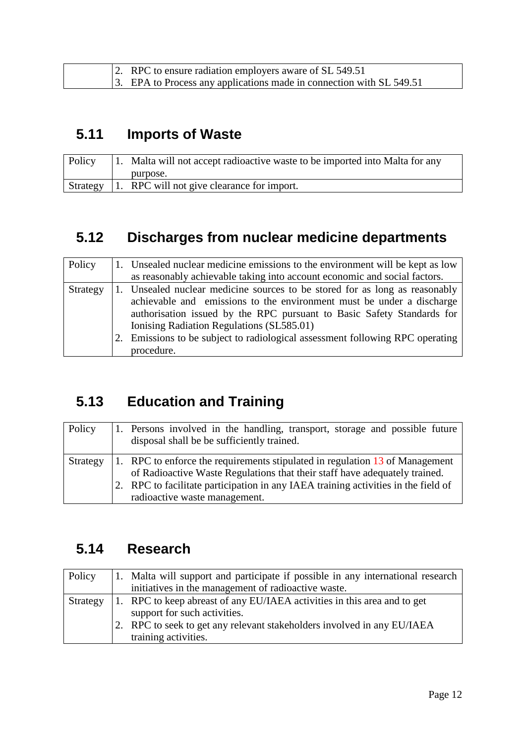| 2. RPC to ensure radiation employers aware of SL 549.51              |  |
|----------------------------------------------------------------------|--|
| 3. EPA to Process any applications made in connection with SL 549.51 |  |

### <span id="page-11-0"></span>**5.11 Imports of Waste**

| Policy | 1. Malta will not accept radioactive waste to be imported into Malta for any |
|--------|------------------------------------------------------------------------------|
|        | purpose.                                                                     |
|        | Strategy 1. RPC will not give clearance for import.                          |

#### <span id="page-11-1"></span>**5.12 Discharges from nuclear medicine departments**

| Policy   |    | 1. Unsealed nuclear medicine emissions to the environment will be kept as low<br>as reasonably achievable taking into account economic and social factors.                                                                                                                                                                                                              |
|----------|----|-------------------------------------------------------------------------------------------------------------------------------------------------------------------------------------------------------------------------------------------------------------------------------------------------------------------------------------------------------------------------|
| Strategy | 2. | 1. Unsealed nuclear medicine sources to be stored for as long as reasonably<br>achievable and emissions to the environment must be under a discharge<br>authorisation issued by the RPC pursuant to Basic Safety Standards for<br>Ionising Radiation Regulations (SL585.01)<br>Emissions to be subject to radiological assessment following RPC operating<br>procedure. |

### <span id="page-11-2"></span>**5.13 Education and Training**

| Policy   | 1. Persons involved in the handling, transport, storage and possible future<br>disposal shall be be sufficiently trained.                                                                                                                                                         |
|----------|-----------------------------------------------------------------------------------------------------------------------------------------------------------------------------------------------------------------------------------------------------------------------------------|
| Strategy | 1. RPC to enforce the requirements stipulated in regulation 13 of Management<br>of Radioactive Waste Regulations that their staff have adequately trained.<br>2. RPC to facilitate participation in any IAEA training activities in the field of<br>radioactive waste management. |

### <span id="page-11-3"></span>**5.14 Research**

| Policy   | 1. Malta will support and participate if possible in any international research |  |
|----------|---------------------------------------------------------------------------------|--|
|          | initiatives in the management of radioactive waste.                             |  |
| Strategy | 1. RPC to keep abreast of any EU/IAEA activities in this area and to get        |  |
|          | support for such activities.                                                    |  |
|          | 2. RPC to seek to get any relevant stakeholders involved in any EU/IAEA         |  |
|          | training activities.                                                            |  |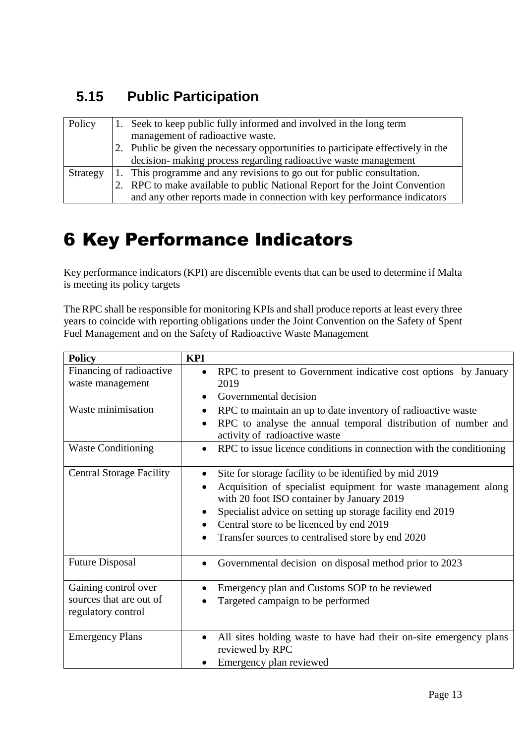### <span id="page-12-0"></span>**5.15 Public Participation**

| Policy   |    | 1. Seek to keep public fully informed and involved in the long term<br>management of radioactive waste. |  |
|----------|----|---------------------------------------------------------------------------------------------------------|--|
|          | 2. | Public be given the necessary opportunities to participate effectively in the                           |  |
|          |    | decision- making process regarding radioactive waste management                                         |  |
| Strategy |    | 1. This programme and any revisions to go out for public consultation.                                  |  |
|          |    | 2. RPC to make available to public National Report for the Joint Convention                             |  |
|          |    | and any other reports made in connection with key performance indicators                                |  |

## <span id="page-12-1"></span>6 Key Performance Indicators

Key performance indicators (KPI) are discernible events that can be used to determine if Malta is meeting its policy targets

The RPC shall be responsible for monitoring KPIs and shall produce reports at least every three years to coincide with reporting obligations under the Joint Convention on the Safety of Spent Fuel Management and on the Safety of Radioactive Waste Management

| <b>Policy</b>                                                         | <b>KPI</b>                                                                                                                                                                                                                                                                                                                                        |
|-----------------------------------------------------------------------|---------------------------------------------------------------------------------------------------------------------------------------------------------------------------------------------------------------------------------------------------------------------------------------------------------------------------------------------------|
| Financing of radioactive<br>waste management                          | RPC to present to Government indicative cost options by January<br>$\bullet$<br>2019<br>Governmental decision<br>$\bullet$                                                                                                                                                                                                                        |
| Waste minimisation                                                    | RPC to maintain an up to date inventory of radioactive waste<br>$\bullet$<br>RPC to analyse the annual temporal distribution of number and<br>activity of radioactive waste                                                                                                                                                                       |
| <b>Waste Conditioning</b>                                             | RPC to issue licence conditions in connection with the conditioning                                                                                                                                                                                                                                                                               |
| <b>Central Storage Facility</b>                                       | Site for storage facility to be identified by mid 2019<br>$\bullet$<br>Acquisition of specialist equipment for waste management along<br>with 20 foot ISO container by January 2019<br>Specialist advice on setting up storage facility end 2019<br>Central store to be licenced by end 2019<br>Transfer sources to centralised store by end 2020 |
| <b>Future Disposal</b>                                                | Governmental decision on disposal method prior to 2023<br>$\bullet$                                                                                                                                                                                                                                                                               |
| Gaining control over<br>sources that are out of<br>regulatory control | Emergency plan and Customs SOP to be reviewed<br>Targeted campaign to be performed                                                                                                                                                                                                                                                                |
| <b>Emergency Plans</b>                                                | All sites holding waste to have had their on-site emergency plans<br>$\bullet$<br>reviewed by RPC<br>Emergency plan reviewed                                                                                                                                                                                                                      |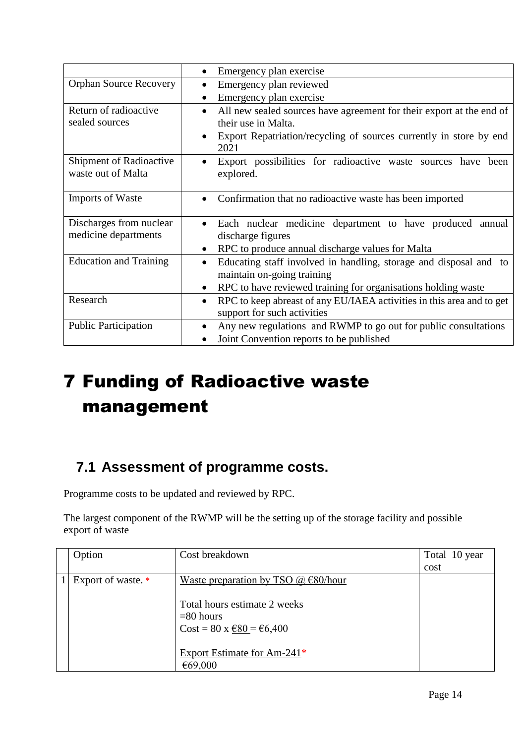|                                                      | Emergency plan exercise                                                                                           |
|------------------------------------------------------|-------------------------------------------------------------------------------------------------------------------|
| <b>Orphan Source Recovery</b>                        | Emergency plan reviewed<br>$\bullet$                                                                              |
|                                                      | Emergency plan exercise                                                                                           |
| Return of radioactive                                | All new sealed sources have agreement for their export at the end of<br>$\bullet$                                 |
| sealed sources                                       | their use in Malta.                                                                                               |
|                                                      | Export Repatriation/recycling of sources currently in store by end<br>$\bullet$<br>2021                           |
| <b>Shipment of Radioactive</b><br>waste out of Malta | Export possibilities for radioactive waste sources have been<br>explored.                                         |
| <b>Imports of Waste</b>                              | Confirmation that no radioactive waste has been imported<br>$\bullet$                                             |
| Discharges from nuclear                              | Each nuclear medicine department to have produced annual<br>$\bullet$                                             |
| medicine departments                                 | discharge figures                                                                                                 |
|                                                      | RPC to produce annual discharge values for Malta                                                                  |
| <b>Education and Training</b>                        | Educating staff involved in handling, storage and disposal and to<br>maintain on-going training                   |
|                                                      | RPC to have reviewed training for organisations holding waste<br>$\bullet$                                        |
| Research                                             | RPC to keep abreast of any EU/IAEA activities in this area and to get<br>$\bullet$<br>support for such activities |
| <b>Public Participation</b>                          | Any new regulations and RWMP to go out for public consultations<br>$\bullet$                                      |
|                                                      | Joint Convention reports to be published                                                                          |

# <span id="page-13-0"></span>7 Funding of Radioactive waste management

#### <span id="page-13-1"></span>**7.1 Assessment of programme costs.**

Programme costs to be updated and reviewed by RPC.

The largest component of the RWMP will be the setting up of the storage facility and possible export of waste

| Option             | Cost breakdown                                                                                                        | Total 10 year |
|--------------------|-----------------------------------------------------------------------------------------------------------------------|---------------|
|                    |                                                                                                                       | cost          |
| Export of waste. * | Waste preparation by TSO $\omega$ $\epsilon$ 80/hour                                                                  |               |
|                    | Total hours estimate 2 weeks<br>$= 80$ hours<br>$Cost = 80 \times \text{\textsterling}80 = \text{\textsterling}6,400$ |               |
|                    | Export Estimate for Am-241*<br>€69,000                                                                                |               |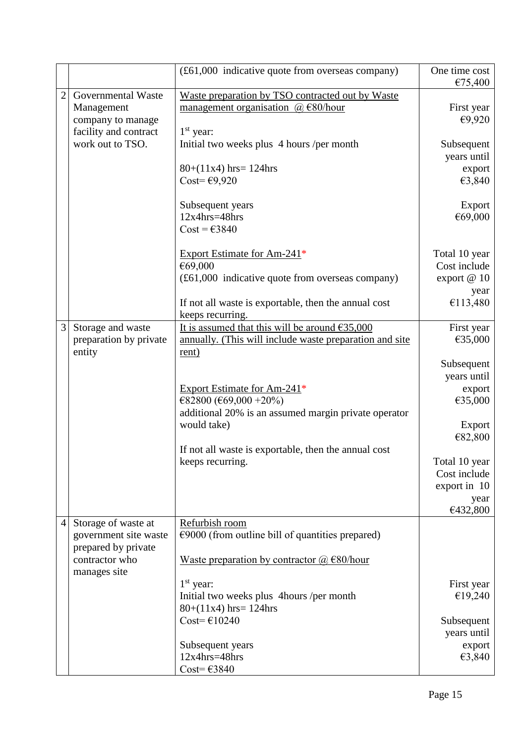|   |                                                                                | (£61,000 indicative quote from overseas company)                                                                                                                                             | One time cost<br>€75,400                                            |
|---|--------------------------------------------------------------------------------|----------------------------------------------------------------------------------------------------------------------------------------------------------------------------------------------|---------------------------------------------------------------------|
| 2 | Governmental Waste<br>Management<br>company to manage<br>facility and contract | Waste preparation by TSO contracted out by Waste<br>management organisation $(a) \in 80$ /hour<br>$1st$ year:                                                                                | First year<br>€9,920                                                |
|   | work out to TSO.                                                               | Initial two weeks plus 4 hours /per month<br>$80+(11x4)$ hrs= 124hrs<br>Cost= $\epsilon$ 9,920                                                                                               | Subsequent<br>years until<br>export<br>€3,840                       |
|   |                                                                                | Subsequent years<br>$12x4hrs = 48hrs$<br>$Cost = \text{\textsterling}3840$                                                                                                                   | Export<br>€69,000                                                   |
|   |                                                                                | Export Estimate for Am-241 <sup>*</sup><br>€69,000<br>(£61,000 indicative quote from overseas company)                                                                                       | Total 10 year<br>Cost include<br>export $@10$                       |
|   |                                                                                | If not all waste is exportable, then the annual cost<br>keeps recurring.                                                                                                                     | year<br>€113,480                                                    |
| 3 | Storage and waste<br>preparation by private                                    | It is assumed that this will be around $635,000$<br>annually. (This will include waste preparation and site                                                                                  | First year<br>€35,000                                               |
|   | entity                                                                         | rent)<br>Export Estimate for Am-241*<br>€82800 (€69,000 +20%)<br>additional 20% is an assumed margin private operator<br>would take)<br>If not all waste is exportable, then the annual cost | Subsequent<br>years until<br>export<br>€35,000<br>Export<br>€82,800 |
|   |                                                                                | keeps recurring.                                                                                                                                                                             | Total 10 year<br>Cost include<br>export in 10<br>year<br>€432,800   |
| 4 | Storage of waste at<br>government site waste                                   | Refurbish room<br>$\epsilon$ 9000 (from outline bill of quantities prepared)                                                                                                                 |                                                                     |
|   | prepared by private<br>contractor who<br>manages site                          | <u>Waste preparation by contractor <math>(a) \in 80</math>/hour</u>                                                                                                                          |                                                                     |
|   |                                                                                | $1st$ year:<br>Initial two weeks plus 4hours /per month<br>$80+(11x4)$ hrs= 124hrs                                                                                                           | First year<br>€19,240                                               |
|   |                                                                                | Cost= $€10240$                                                                                                                                                                               | Subsequent<br>years until                                           |
|   |                                                                                | Subsequent years<br>$12x4hrs = 48hrs$<br>Cost= $€3840$                                                                                                                                       | export<br>€3,840                                                    |